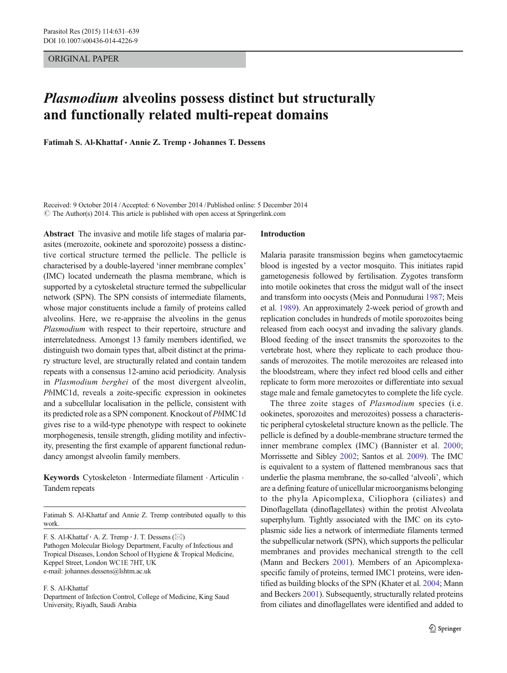ORIGINAL PAPER

# Plasmodium alveolins possess distinct but structurally and functionally related multi-repeat domains

Fatimah S. Al-Khattaf · Annie Z. Tremp · Johannes T. Dessens

Received: 9 October 2014 /Accepted: 6 November 2014 / Published online: 5 December 2014  $\odot$  The Author(s) 2014. This article is published with open access at Springerlink.com

Abstract The invasive and motile life stages of malaria parasites (merozoite, ookinete and sporozoite) possess a distinctive cortical structure termed the pellicle. The pellicle is characterised by a double-layered 'inner membrane complex' (IMC) located underneath the plasma membrane, which is supported by a cytoskeletal structure termed the subpellicular network (SPN). The SPN consists of intermediate filaments, whose major constituents include a family of proteins called alveolins. Here, we re-appraise the alveolins in the genus Plasmodium with respect to their repertoire, structure and interrelatedness. Amongst 13 family members identified, we distinguish two domain types that, albeit distinct at the primary structure level, are structurally related and contain tandem repeats with a consensus 12-amino acid periodicity. Analysis in Plasmodium berghei of the most divergent alveolin, PbIMC1d, reveals a zoite-specific expression in ookinetes and a subcellular localisation in the pellicle, consistent with its predicted role as a SPN component. Knockout of PbIMC1d gives rise to a wild-type phenotype with respect to ookinete morphogenesis, tensile strength, gliding motility and infectivity, presenting the first example of apparent functional redundancy amongst alveolin family members.

Keywords Cytoskeleton . Intermediate filament . Articulin . Tandem repeats

Fatimah S. Al-Khattaf and Annie Z. Tremp contributed equally to this work.

F. S. Al-Khattaf  $\cdot$  A. Z. Tremp  $\cdot$  J. T. Dessens ( $\boxtimes$ ) Pathogen Molecular Biology Department, Faculty of Infectious and Tropical Diseases, London School of Hygiene & Tropical Medicine, Keppel Street, London WC1E 7HT, UK e-mail: johannes.dessens@lshtm.ac.uk

F. S. Al-Khattaf

Department of Infection Control, College of Medicine, King Saud University, Riyadh, Saudi Arabia

# Introduction

Malaria parasite transmission begins when gametocytaemic blood is ingested by a vector mosquito. This initiates rapid gametogenesis followed by fertilisation. Zygotes transform into motile ookinetes that cross the midgut wall of the insect and transform into oocysts (Meis and Ponnudurai [1987;](#page-8-0) Meis et al. [1989\)](#page-8-0). An approximately 2-week period of growth and replication concludes in hundreds of motile sporozoites being released from each oocyst and invading the salivary glands. Blood feeding of the insect transmits the sporozoites to the vertebrate host, where they replicate to each produce thousands of merozoites. The motile merozoites are released into the bloodstream, where they infect red blood cells and either replicate to form more merozoites or differentiate into sexual stage male and female gametocytes to complete the life cycle.

The three zoite stages of *Plasmodium* species (i.e. ookinetes, sporozoites and merozoites) possess a characteristic peripheral cytoskeletal structure known as the pellicle. The pellicle is defined by a double-membrane structure termed the inner membrane complex (IMC) (Bannister et al. [2000;](#page-8-0) Morrissette and Sibley [2002](#page-8-0); Santos et al. [2009\)](#page-8-0). The IMC is equivalent to a system of flattened membranous sacs that underlie the plasma membrane, the so-called 'alveoli', which are a defining feature of unicellular microorganisms belonging to the phyla Apicomplexa, Ciliophora (ciliates) and Dinoflagellata (dinoflagellates) within the protist Alveolata superphylum. Tightly associated with the IMC on its cytoplasmic side lies a network of intermediate filaments termed the subpellicular network (SPN), which supports the pellicular membranes and provides mechanical strength to the cell (Mann and Beckers [2001\)](#page-8-0). Members of an Apicomplexaspecific family of proteins, termed IMC1 proteins, were identified as building blocks of the SPN (Khater et al. [2004;](#page-8-0) Mann and Beckers [2001](#page-8-0)). Subsequently, structurally related proteins from ciliates and dinoflagellates were identified and added to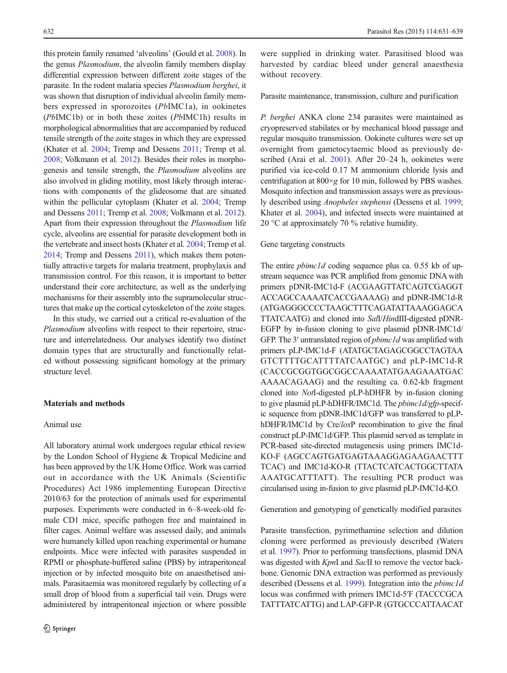this protein family renamed 'alveolins' (Gould et al. [2008](#page-8-0)). In the genus Plasmodium, the alveolin family members display differential expression between different zoite stages of the parasite. In the rodent malaria species Plasmodium berghei, it was shown that disruption of individual alveolin family members expressed in sporozoites (PbIMC1a), in ookinetes (PbIMC1b) or in both these zoites (PbIMC1h) results in morphological abnormalities that are accompanied by reduced tensile strength of the zoite stages in which they are expressed (Khater et al. [2004;](#page-8-0) Tremp and Dessens [2011](#page-8-0); Tremp et al. [2008;](#page-8-0) Volkmann et al. [2012](#page-8-0)). Besides their roles in morphogenesis and tensile strength, the Plasmodium alveolins are also involved in gliding motility, most likely through interactions with components of the glideosome that are situated within the pellicular cytoplasm (Khater et al. [2004;](#page-8-0) Tremp and Dessens [2011](#page-8-0); Tremp et al. [2008](#page-8-0); Volkmann et al. [2012\)](#page-8-0). Apart from their expression throughout the Plasmodium life cycle, alveolins are essential for parasite development both in the vertebrate and insect hosts (Khater et al. [2004;](#page-8-0) Tremp et al. [2014;](#page-8-0) Tremp and Dessens [2011](#page-8-0)), which makes them potentially attractive targets for malaria treatment, prophylaxis and transmission control. For this reason, it is important to better understand their core architecture, as well as the underlying mechanisms for their assembly into the supramolecular structures that make up the cortical cytoskeleton of the zoite stages.

In this study, we carried out a critical re-evaluation of the Plasmodium alveolins with respect to their repertoire, structure and interrelatedness. Our analyses identify two distinct domain types that are structurally and functionally related without possessing significant homology at the primary structure level.

#### Materials and methods

## Animal use

All laboratory animal work undergoes regular ethical review by the London School of Hygiene & Tropical Medicine and has been approved by the UK Home Office. Work was carried out in accordance with the UK Animals (Scientific Procedures) Act 1986 implementing European Directive 2010/63 for the protection of animals used for experimental purposes. Experiments were conducted in 6–8-week-old female CD1 mice, specific pathogen free and maintained in filter cages. Animal welfare was assessed daily, and animals were humanely killed upon reaching experimental or humane endpoints. Mice were infected with parasites suspended in RPMI or phosphate-buffered saline (PBS) by intraperitoneal injection or by infected mosquito bite on anaesthetised animals. Parasitaemia was monitored regularly by collecting of a small drop of blood from a superficial tail vein. Drugs were administered by intraperitoneal injection or where possible

were supplied in drinking water. Parasitised blood was harvested by cardiac bleed under general anaesthesia without recovery.

Parasite maintenance, transmission, culture and purification

P. berghei ANKA clone 234 parasites were maintained as cryopreserved stabilates or by mechanical blood passage and regular mosquito transmission. Ookinete cultures were set up overnight from gametocytaemic blood as previously described (Arai et al. [2001](#page-8-0)). After 20–24 h, ookinetes were purified via ice-cold 0.17 M ammonium chloride lysis and centrifugation at 800×g for 10 min, followed by PBS washes. Mosquito infection and transmission assays were as previously described using Anopheles stephensi (Dessens et al. [1999;](#page-8-0) Khater et al. [2004](#page-8-0)), and infected insects were maintained at 20 °C at approximately 70 % relative humidity.

# Gene targeting constructs

The entire *pbimc1d* coding sequence plus ca. 0.55 kb of upstream sequence was PCR amplified from genomic DNA with primers pDNR-IMC1d-F (ACGAAGTTATCAGTCGAGGT ACCAGCCAAAATCACCGAAAAG) and pDNR-IMC1d-R (ATGAGGGCCCCTAAGCTTTCAGATATTAAAGGAGCA TTATCAATG) and cloned into SalI/HindIII-digested pDNR-EGFP by in-fusion cloning to give plasmid pDNR-IMC1d/ GFP. The 3' untranslated region of *pbimc1d* was amplified with primers pLP-IMC1d-F (ATATGCTAGAGCGGCCTAGTAA GTCTTTTGCATTTTATCAATGC) and pLP-IMC1d-R (CACCGCGGTGGCGGCCAAAATATGAAGAAATGAC AAAACAGAAG) and the resulting ca. 0.62-kb fragment cloned into NotI-digested pLP-hDHFR by in-fusion cloning to give plasmid pLP-hDHFR/IMC1d. The *pbimc1d/gfp*-specific sequence from pDNR-IMC1d/GFP was transferred to pLPhDHFR/IMC1d by Cre/loxP recombination to give the final construct pLP-IMC1d/GFP. This plasmid served as template in PCR-based site-directed mutagenesis using primers IMC1d-KO-F (AGCCAGTGATGAGTAAAGGAGAAGAACTTT TCAC) and IMC1d-KO-R (TTACTCATCACTGGCTTATA AAATGCATTTATT). The resulting PCR product was circularised using in-fusion to give plasmid pLP-IMC1d-KO.

Generation and genotyping of genetically modified parasites

Parasite transfection, pyrimethamine selection and dilution cloning were performed as previously described (Waters et al. [1997\)](#page-8-0). Prior to performing transfections, plasmid DNA was digested with *KpnI* and *SacII* to remove the vector backbone. Genomic DNA extraction was performed as previously described (Dessens et al. [1999\)](#page-8-0). Integration into the *pbimc1d* locus was confirmed with primers IMC1d-5′F (TACCCGCA TATTTATCATTG) and LAP-GFP-R (GTGCCCATTAACAT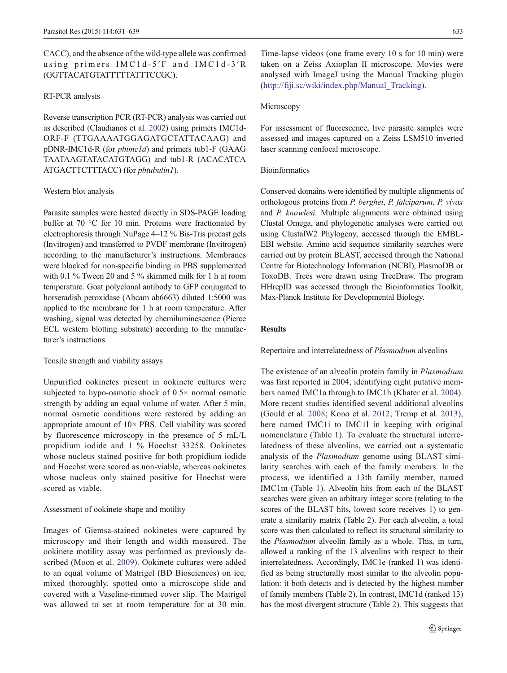CACC), and the absence of the wild-type allele was confirmed using primers IMC1d-5'F and IMC1d-3'R (GGTTACATGTATTTTTATTTCCGC).

# RT-PCR analysis

Reverse transcription PCR (RT-PCR) analysis was carried out as described (Claudianos et al. [2002\)](#page-8-0) using primers IMC1d-ORF-F (TTGAAAATGGAGATGCTATTACAAG) and pDNR-IMC1d-R (for pbimc1d) and primers tub1-F (GAAG TAATAAGTATACATGTAGG) and tub1-R (ACACATCA ATGACTTCTTTACC) (for pbtubulin1).

#### Western blot analysis

Parasite samples were heated directly in SDS-PAGE loading buffer at 70 °C for 10 min. Proteins were fractionated by electrophoresis through NuPage 4–12 % Bis-Tris precast gels (Invitrogen) and transferred to PVDF membrane (Invitrogen) according to the manufacturer's instructions. Membranes were blocked for non-specific binding in PBS supplemented with 0.1 % Tween 20 and 5 % skimmed milk for 1 h at room temperature. Goat polyclonal antibody to GFP conjugated to horseradish peroxidase (Abcam ab6663) diluted 1:5000 was applied to the membrane for 1 h at room temperature. After washing, signal was detected by chemiluminescence (Pierce ECL western blotting substrate) according to the manufacturer's instructions.

#### Tensile strength and viability assays

Unpurified ookinetes present in ookinete cultures were subjected to hypo-osmotic shock of  $0.5\times$  normal osmotic strength by adding an equal volume of water. After 5 min, normal osmotic conditions were restored by adding an appropriate amount of 10× PBS. Cell viability was scored by fluorescence microscopy in the presence of 5 mL/L propidium iodide and 1 % Hoechst 33258. Ookinetes whose nucleus stained positive for both propidium iodide and Hoechst were scored as non-viable, whereas ookinetes whose nucleus only stained positive for Hoechst were scored as viable.

## Assessment of ookinete shape and motility

Images of Giemsa-stained ookinetes were captured by microscopy and their length and width measured. The ookinete motility assay was performed as previously described (Moon et al. [2009\)](#page-8-0). Ookinete cultures were added to an equal volume of Matrigel (BD Biosciences) on ice, mixed thoroughly, spotted onto a microscope slide and covered with a Vaseline-rimmed cover slip. The Matrigel was allowed to set at room temperature for at 30 min.

Time-lapse videos (one frame every 10 s for 10 min) were taken on a Zeiss Axioplan II microscope. Movies were analysed with ImageJ using the Manual Tracking plugin [\(http://fiji.sc/wiki/index.php/Manual\\_Tracking](http://fiji.sc/wiki/index.php/Manual_Tracking)).

#### Microscopy

For assessment of fluorescence, live parasite samples were assessed and images captured on a Zeiss LSM510 inverted laser scanning confocal microscope.

#### **Bioinformatics**

Conserved domains were identified by multiple alignments of orthologous proteins from P. berghei, P. falciparum, P. vivax and P. knowlesi. Multiple alignments were obtained using Clustal Omega, and phylogenetic analyses were carried out using ClustalW2 Phylogeny, accessed through the EMBL-EBI website. Amino acid sequence similarity searches were carried out by protein BLAST, accessed through the National Centre for Biotechnology Information (NCBI), PlasmoDB or ToxoDB. Trees were drawn using TreeDraw. The program HHrepID was accessed through the Bioinformatics Toolkit, Max-Planck Institute for Developmental Biology.

# Results

#### Repertoire and interrelatedness of Plasmodium alveolins

The existence of an alveolin protein family in *Plasmodium* was first reported in 2004, identifying eight putative members named IMC1a through to IMC1h (Khater et al. [2004](#page-8-0)). More recent studies identified several additional alveolins (Gould et al. [2008](#page-8-0); Kono et al. [2012](#page-8-0); Tremp et al. [2013](#page-8-0)), here named IMC1i to IMC1l in keeping with original nomenclature (Table [1](#page-3-0)). To evaluate the structural interrelatedness of these alveolins, we carried out a systematic analysis of the Plasmodium genome using BLAST similarity searches with each of the family members. In the process, we identified a 13th family member, named IMC1m (Table [1](#page-3-0)). Alveolin hits from each of the BLAST searches were given an arbitrary integer score (relating to the scores of the BLAST hits, lowest score receives 1) to generate a similarity matrix (Table [2](#page-4-0)). For each alveolin, a total score was then calculated to reflect its structural similarity to the Plasmodium alveolin family as a whole. This, in turn, allowed a ranking of the 13 alveolins with respect to their interrelatedness. Accordingly, IMC1e (ranked 1) was identified as being structurally most similar to the alveolin population: it both detects and is detected by the highest number of family members (Table [2](#page-4-0)). In contrast, IMC1d (ranked 13) has the most divergent structure (Table [2\)](#page-4-0). This suggests that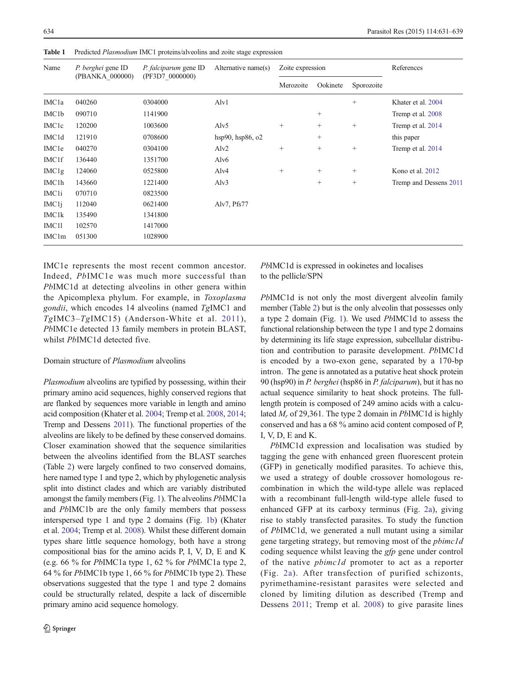| Name               | P. berghei gene ID | <i>P. falciparum</i> gene ID | Alternative name(s)        | Zoite expression      |        | References |                        |
|--------------------|--------------------|------------------------------|----------------------------|-----------------------|--------|------------|------------------------|
|                    | (PBANKA 000000)    | (PF3D7 0000000)              |                            | Ookinete<br>Merozoite |        | Sporozoite |                        |
| IMC <sub>1</sub> a | 040260             | 0304000                      | Alv1                       |                       |        | $^{+}$     | Khater et al. 2004     |
| IMC <sub>1</sub> b | 090710             | 1141900                      |                            |                       | $+$    |            | Tremp et al. 2008      |
| IMC1c              | 120200             | 1003600                      | Alv5                       | $+$                   | $+$    | $+$        | Tremp et al. 2014      |
| IMC1d              | 121910             | 0708600                      | hsp $90$ , hsp $86$ , $02$ |                       | $+$    |            | this paper             |
| IMC1e              | 040270             | 0304100                      | Alv2                       | $^{+}$                | $^{+}$ | $^{+}$     | Tremp et al. 2014      |
| IMC1f              | 136440             | 1351700                      | Alv6                       |                       |        |            |                        |
| IMC1g              | 124060             | 0525800                      | Alv4                       | $+$                   | $+$    | $^{+}$     | Kono et al. 2012       |
| IMC1h              | 143660             | 1221400                      | Alv3                       |                       | $^{+}$ | $+$        | Tremp and Dessens 2011 |
| IMC1i              | 070710             | 0823500                      |                            |                       |        |            |                        |
| IMCI <sub>j</sub>  | 112040             | 0621400                      | Alv7, Pfs77                |                       |        |            |                        |
| IMC <sub>1</sub> k | 135490             | 1341800                      |                            |                       |        |            |                        |
| IMC11              | 102570             | 1417000                      |                            |                       |        |            |                        |
| IMC <sub>1m</sub>  | 051300             | 1028900                      |                            |                       |        |            |                        |

<span id="page-3-0"></span>Table 1 Predicted *Plasmodium* IMC1 proteins/alveolins and zoite stage expression

IMC1e represents the most recent common ancestor. Indeed, PbIMC1e was much more successful than PbIMC1d at detecting alveolins in other genera within the Apicomplexa phylum. For example, in Toxoplasma gondii, which encodes 14 alveolins (named TgIMC1 and TgIMC3–TgIMC15) (Anderson-White et al. [2011\)](#page-7-0), PbIMC1e detected 13 family members in protein BLAST, whilst PbIMC1d detected five.

# Domain structure of Plasmodium alveolins

Plasmodium alveolins are typified by possessing, within their primary amino acid sequences, highly conserved regions that are flanked by sequences more variable in length and amino acid composition (Khater et al. [2004](#page-8-0); Tremp et al. [2008](#page-8-0), [2014](#page-8-0); Tremp and Dessens [2011\)](#page-8-0). The functional properties of the alveolins are likely to be defined by these conserved domains. Closer examination showed that the sequence similarities between the alveolins identified from the BLAST searches (Table [2](#page-4-0)) were largely confined to two conserved domains, here named type 1 and type 2, which by phylogenetic analysis split into distinct clades and which are variably distributed amongst the family members (Fig. [1](#page-4-0)). The alveolins PbIMC1a and PbIMC1b are the only family members that possess interspersed type 1 and type 2 domains (Fig. [1b\)](#page-4-0) (Khater et al. [2004;](#page-8-0) Tremp et al. [2008\)](#page-8-0). Whilst these different domain types share little sequence homology, both have a strong compositional bias for the amino acids P, I, V, D, E and K (e.g. 66  $\%$  for *PbIMC1a* type 1, 62  $\%$  for *PbIMC1a* type 2, 64 % for PbIMC1b type 1, 66 % for PbIMC1b type 2). These observations suggested that the type 1 and type 2 domains could be structurally related, despite a lack of discernible primary amino acid sequence homology.

PbIMC1d is expressed in ookinetes and localises to the pellicle/SPN

PbIMC1d is not only the most divergent alveolin family member (Table [2](#page-4-0)) but is the only alveolin that possesses only a type 2 domain (Fig. [1](#page-4-0)). We used PbIMC1d to assess the functional relationship between the type 1 and type 2 domains by determining its life stage expression, subcellular distribution and contribution to parasite development. PbIMC1d is encoded by a two-exon gene, separated by a 170-bp intron. The gene is annotated as a putative heat shock protein 90 (hsp90) in P. berghei (hsp86 in P. falciparum), but it has no actual sequence similarity to heat shock proteins. The fulllength protein is composed of 249 amino acids with a calculated  $M_r$  of 29,361. The type 2 domain in PbIMC1d is highly conserved and has a 68 % amino acid content composed of P, I, V, D, E and K.

PbIMC1d expression and localisation was studied by tagging the gene with enhanced green fluorescent protein (GFP) in genetically modified parasites. To achieve this, we used a strategy of double crossover homologous recombination in which the wild-type allele was replaced with a recombinant full-length wild-type allele fused to enhanced GFP at its carboxy terminus (Fig. [2a\)](#page-5-0), giving rise to stably transfected parasites. To study the function of PbIMC1d, we generated a null mutant using a similar gene targeting strategy, but removing most of the *pbimc1d* coding sequence whilst leaving the gfp gene under control of the native pbimc1d promoter to act as a reporter (Fig. [2a\)](#page-5-0). After transfection of purified schizonts, pyrimethamine-resistant parasites were selected and cloned by limiting dilution as described (Tremp and Dessens [2011;](#page-8-0) Tremp et al. [2008\)](#page-8-0) to give parasite lines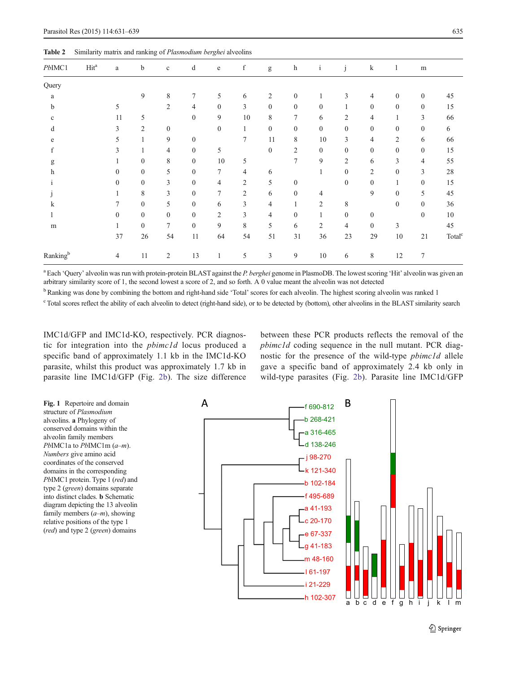<span id="page-4-0"></span>Table 2 Similarity matrix and ranking of *Plasmodium berghei* alveolins

| PbIMC1               | Hit <sup>a</sup> | a              | b              | $\mathbf c$      | d                | e            | $\mathbf f$  | g                | $\boldsymbol{\mathrm{h}}$ | $\mathbf{1}$     | $\mathbf{1}$     | k                |                  | ${\rm m}$        |                    |
|----------------------|------------------|----------------|----------------|------------------|------------------|--------------|--------------|------------------|---------------------------|------------------|------------------|------------------|------------------|------------------|--------------------|
| Query                |                  |                |                |                  |                  |              |              |                  |                           |                  |                  |                  |                  |                  |                    |
| a                    |                  |                | 9              | 8                | $\tau$           | 5            | 6            | $\overline{2}$   | $\boldsymbol{0}$          | 1                | 3                | $\overline{4}$   | $\boldsymbol{0}$ | $\mathbf{0}$     | 45                 |
| b                    |                  | 5              |                | $\overline{2}$   | $\overline{4}$   | $\mathbf{0}$ | 3            | $\mathbf{0}$     | $\mathbf{0}$              | $\mathbf{0}$     | 1                | $\mathbf{0}$     | $\mathbf{0}$     | $\mathbf{0}$     | 15                 |
| $\mathbf{c}$         |                  | 11             | 5              |                  | $\mathbf{0}$     | 9            | $10\,$       | 8                | $\tau$                    | 6                | $\overline{2}$   | 4                | 1                | 3                | 66                 |
| d                    |                  | 3              | $\overline{2}$ | $\boldsymbol{0}$ |                  | $\mathbf{0}$ | $\mathbf{1}$ | $\boldsymbol{0}$ | $\mathbf{0}$              | $\mathbf{0}$     | $\mathbf{0}$     | $\boldsymbol{0}$ | $\overline{0}$   | $\mathbf{0}$     | 6                  |
| e                    |                  | 5              | $\mathbf{1}$   | 9                | $\mathbf{0}$     |              | 7            | 11               | 8                         | 10               | 3                | $\overline{4}$   | $\overline{2}$   | 6                | 66                 |
|                      |                  | 3              | $\mathbf{1}$   | 4                | $\mathbf{0}$     | 5            |              | $\boldsymbol{0}$ | $\mathfrak{2}$            | $\boldsymbol{0}$ | $\boldsymbol{0}$ | $\boldsymbol{0}$ | $\mathbf{0}$     | $\boldsymbol{0}$ | 15                 |
| g                    |                  |                | $\mathbf{0}$   | 8                | $\mathbf{0}$     | 10           | 5            |                  | 7                         | 9                | $\overline{2}$   | 6                | 3                | $\overline{4}$   | 55                 |
| h                    |                  | $\overline{0}$ | $\mathbf{0}$   | 5                | $\mathbf{0}$     | 7            | 4            | 6                |                           | 1                | $\overline{0}$   | 2                | $\mathbf{0}$     | 3                | 28                 |
|                      |                  | $\overline{0}$ | $\mathbf{0}$   | 3                | $\mathbf{0}$     | 4            | 2            | 5                | $\mathbf{0}$              |                  | $\overline{0}$   | $\boldsymbol{0}$ | 1                | $\overline{0}$   | 15                 |
|                      |                  |                | 8              | 3                | $\mathbf{0}$     | 7            | 2            | 6                | $\mathbf{0}$              | 4                |                  | 9                | $\mathbf{0}$     | 5                | 45                 |
| k                    |                  | 7              | $\mathbf{0}$   | 5                | $\boldsymbol{0}$ | 6            | 3            | $\overline{4}$   |                           | $\overline{2}$   | 8                |                  | $\boldsymbol{0}$ | $\boldsymbol{0}$ | 36                 |
|                      |                  | $\mathbf{0}$   | $\mathbf{0}$   | $\boldsymbol{0}$ | $\boldsymbol{0}$ | 2            | 3            | $\overline{4}$   | $\overline{0}$            | $\mathbf{1}$     | $\boldsymbol{0}$ | $\boldsymbol{0}$ |                  | $\mathbf{0}$     | $10\,$             |
| ${\rm m}$            |                  |                | $\mathbf{0}$   | $\tau$           | $\mathbf{0}$     | 9            | 8            | 5                | 6                         | $\overline{2}$   | 4                | $\mathbf{0}$     | 3                |                  | 45                 |
|                      |                  | 37             | 26             | 54               | 11               | 64           | 54           | 51               | 31                        | 36               | 23               | 29               | 10               | 21               | Total <sup>c</sup> |
| Ranking <sup>b</sup> |                  | 4              | 11             | 2                | 13               |              | 5            | 3                | 9                         | $10\,$           | 6                | 8                | 12               | 7                |                    |

<sup>a</sup> Each 'Query' alveolin was run with protein-protein BLAST against the P. berghei genome in PlasmoDB. The lowest scoring 'Hit' alveolin was given an arbitrary similarity score of 1, the second lowest a score of 2, and so forth. A 0 value meant the alveolin was not detected

<sup>b</sup> Ranking was done by combining the bottom and right-hand side 'Total' scores for each alveolin. The highest scoring alveolin was ranked 1

<sup>c</sup> Total scores reflect the ability of each alveolin to detect (right-hand side), or to be detected by (bottom), other alveolins in the BLAST similarity search

IMC1d/GFP and IMC1d-KO, respectively. PCR diagnostic for integration into the pbimc1d locus produced a specific band of approximately 1.1 kb in the IMC1d-KO parasite, whilst this product was approximately 1.7 kb in parasite line IMC1d/GFP (Fig. [2b\)](#page-5-0). The size difference between these PCR products reflects the removal of the pbimc1d coding sequence in the null mutant. PCR diagnostic for the presence of the wild-type pbimc1d allele gave a specific band of approximately 2.4 kb only in wild-type parasites (Fig. [2b](#page-5-0)). Parasite line IMC1d/GFP

Fig. 1 Repertoire and domain structure of Plasmodium alveolins. a Phylogeny of conserved domains within the alveolin family members  $PbIMC1a$  to  $PbIMC1m (a-m)$ . Numbers give amino acid coordinates of the conserved domains in the corresponding PbIMC1 protein. Type 1 (red) and type 2 (green) domains separate into distinct clades. b Schematic diagram depicting the 13 alveolin family members  $(a-m)$ , showing relative positions of the type 1 (red) and type 2 (green) domains



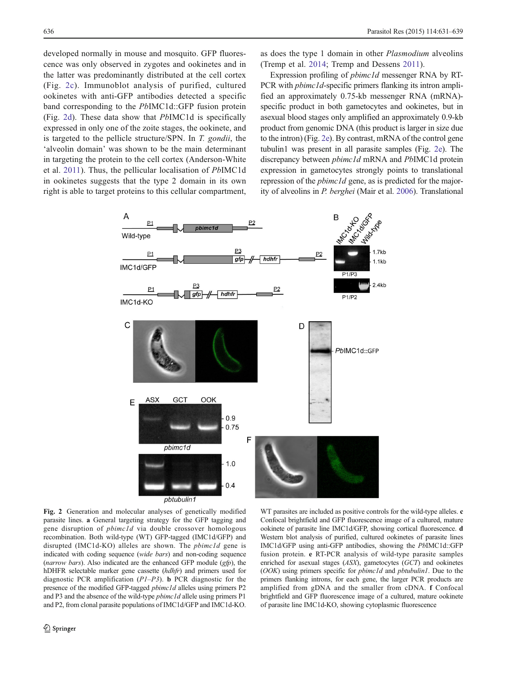<span id="page-5-0"></span>developed normally in mouse and mosquito. GFP fluorescence was only observed in zygotes and ookinetes and in the latter was predominantly distributed at the cell cortex (Fig. 2c). Immunoblot analysis of purified, cultured ookinetes with anti-GFP antibodies detected a specific band corresponding to the PbIMC1d::GFP fusion protein (Fig. 2d). These data show that PbIMC1d is specifically expressed in only one of the zoite stages, the ookinete, and is targeted to the pellicle structure/SPN. In T. gondii, the 'alveolin domain' was shown to be the main determinant in targeting the protein to the cell cortex (Anderson-White et al. [2011\)](#page-7-0). Thus, the pellicular localisation of PbIMC1d in ookinetes suggests that the type 2 domain in its own right is able to target proteins to this cellular compartment,

as does the type 1 domain in other Plasmodium alveolins (Tremp et al. [2014](#page-8-0); Tremp and Dessens [2011\)](#page-8-0).

Expression profiling of pbimc1d messenger RNA by RT-PCR with *pbimc1d*-specific primers flanking its intron amplified an approximately 0.75-kb messenger RNA (mRNA) specific product in both gametocytes and ookinetes, but in asexual blood stages only amplified an approximately 0.9-kb product from genomic DNA (this product is larger in size due to the intron) (Fig. 2e). By contrast, mRNA of the control gene tubulin1 was present in all parasite samples (Fig. 2e). The discrepancy between pbimc1d mRNA and PbIMC1d protein expression in gametocytes strongly points to translational repression of the *pbimc1d* gene, as is predicted for the majority of alveolins in P. berghei (Mair et al. [2006](#page-8-0)). Translational



Fig. 2 Generation and molecular analyses of genetically modified parasite lines. a General targeting strategy for the GFP tagging and gene disruption of pbimc1d via double crossover homologous recombination. Both wild-type (WT) GFP-tagged (IMC1d/GFP) and disrupted (IMC1d-KO) alleles are shown. The *pbimc1d* gene is indicated with coding sequence (wide bars) and non-coding sequence (narrow bars). Also indicated are the enhanced GFP module  $(gfp)$ , the hDHFR selectable marker gene cassette (hdhfr) and primers used for diagnostic PCR amplification  $(PI-P3)$ . **b** PCR diagnostic for the presence of the modified GFP-tagged pbimc1d alleles using primers P2 and P3 and the absence of the wild-type *pbimc1d* allele using primers P1 and P2, from clonal parasite populations of IMC1d/GFP and IMC1d-KO.

WT parasites are included as positive controls for the wild-type alleles. c Confocal brightfield and GFP fluorescence image of a cultured, mature ookinete of parasite line IMC1d/GFP, showing cortical fluorescence. d Western blot analysis of purified, cultured ookinetes of parasite lines IMC1d/GFP using anti-GFP antibodies, showing the PbIMC1d::GFP fusion protein. e RT-PCR analysis of wild-type parasite samples enriched for asexual stages (ASX), gametocytes (GCT) and ookinetes (OOK) using primers specific for pbimc1d and pbtubulin1. Due to the primers flanking introns, for each gene, the larger PCR products are amplified from gDNA and the smaller from cDNA. f Confocal brightfield and GFP fluorescence image of a cultured, mature ookinete of parasite line IMC1d-KO, showing cytoplasmic fluorescence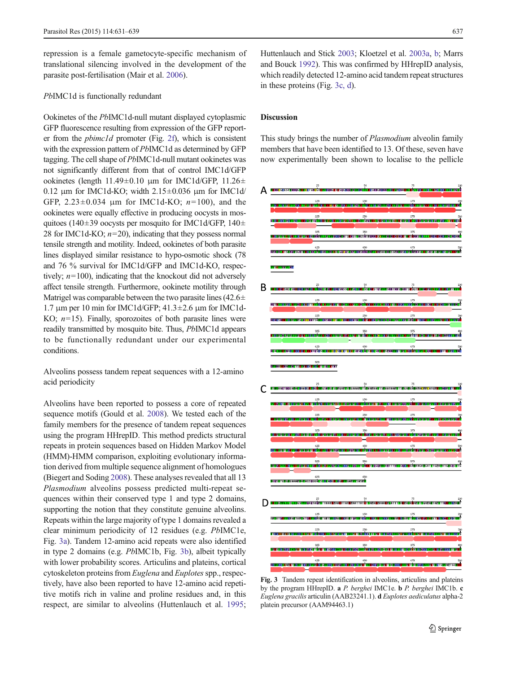repression is a female gametocyte-specific mechanism of translational silencing involved in the development of the parasite post-fertilisation (Mair et al. [2006\)](#page-8-0).

# PbIMC1d is functionally redundant

Ookinetes of the PbIMC1d-null mutant displayed cytoplasmic GFP fluorescence resulting from expression of the GFP reporter from the pbimc1d promoter (Fig. [2f\)](#page-5-0), which is consistent with the expression pattern of PbIMC1d as determined by GFP tagging. The cell shape of PbIMC1d-null mutant ookinetes was not significantly different from that of control IMC1d/GFP ookinetes (length 11.49±0.10 μm for IMC1d/GFP, 11.26± 0.12 μm for IMC1d-KO; width  $2.15\pm0.036$  μm for IMC1d/ GFP,  $2.23 \pm 0.034$  µm for IMC1d-KO;  $n=100$ ), and the ookinetes were equally effective in producing oocysts in mosquitoes (140 $\pm$ 39 oocysts per mosquito for IMC1d/GFP, 140 $\pm$ 28 for IMC1d-KO;  $n=20$ ), indicating that they possess normal tensile strength and motility. Indeed, ookinetes of both parasite lines displayed similar resistance to hypo-osmotic shock (78 and 76 % survival for IMC1d/GFP and IMC1d-KO, respectively;  $n=100$ ), indicating that the knockout did not adversely affect tensile strength. Furthermore, ookinete motility through Matrigel was comparable between the two parasite lines  $(42.6\pm$ 1.7 μm per 10 min for IMC1d/GFP; 41.3±2.6 μm for IMC1d-KO;  $n=15$ ). Finally, sporozoites of both parasite lines were readily transmitted by mosquito bite. Thus, PbIMC1d appears to be functionally redundant under our experimental conditions.

Alveolins possess tandem repeat sequences with a 12-amino acid periodicity

Alveolins have been reported to possess a core of repeated sequence motifs (Gould et al. [2008\)](#page-8-0). We tested each of the family members for the presence of tandem repeat sequences using the program HHrepID. This method predicts structural repeats in protein sequences based on Hidden Markov Model (HMM)-HMM comparison, exploiting evolutionary information derived from multiple sequence alignment of homologues (Biegert and Soding [2008\)](#page-8-0). These analyses revealed that all 13 Plasmodium alveolins possess predicted multi-repeat sequences within their conserved type 1 and type 2 domains, supporting the notion that they constitute genuine alveolins. Repeats within the large majority of type 1 domains revealed a clear minimum periodicity of 12 residues (e.g. PbIMC1e, Fig. 3a). Tandem 12-amino acid repeats were also identified in type 2 domains (e.g. PbIMC1b, Fig. 3b), albeit typically with lower probability scores. Articulins and plateins, cortical cytoskeleton proteins from *Euglena* and *Euplotes* spp., respectively, have also been reported to have 12-amino acid repetitive motifs rich in valine and proline residues and, in this respect, are similar to alveolins (Huttenlauch et al. [1995](#page-8-0);

Huttenlauch and Stick [2003;](#page-8-0) Kloetzel et al. [2003a,](#page-8-0) [b](#page-8-0); Marrs and Bouck [1992\)](#page-8-0). This was confirmed by HHrepID analysis, which readily detected 12-amino acid tandem repeat structures in these proteins (Fig. 3c, d).

# Discussion

This study brings the number of Plasmodium alveolin family members that have been identified to 13. Of these, seven have now experimentally been shown to localise to the pellicle

А <sub>B</sub> X)<br><mark>Voolsedk</mark>eenesnssl<mark>ivseldkis</mark>sli**nk**stosevvsniitinisvantsksgtriemikpi ilaan ami 275<br>PEGPOTE 375<br>PTOTKINIREYPKGINKINPEL  $\mathsf{C}$ 450<br>IVANDYRA AVEVERATION PYRVANDIN 475<br>משפטה המשפטה של השפטים 00<br>-<br>A**RBIIQGOPYVANTTTNVIGOEVBGAVAAGAVGATUTGPAVATGVGOSVTG** 65<br><mark>YGOSYTGYGYGAAAPYAYAGSOGGALSLOLADGKLOGKFYGAPYYSASPE</mark> QAQTAQPYTTAAT**K**PAAKTTATKPAATTATKTYAPAKPAAAKPLATTTYAKPAVAKAPYTYGAPAHTAPY YEYQEAVTVPRTVESQEEYN

Fig. 3 Tandem repeat identification in alveolins, articulins and plateins by the program HHrepID. a P. berghei IMC1e. b P. berghei IMC1b. c Euglena gracilis articulin (AAB23241.1). d Euplotes aediculatus alpha-2 platein precursor (AAM94463.1)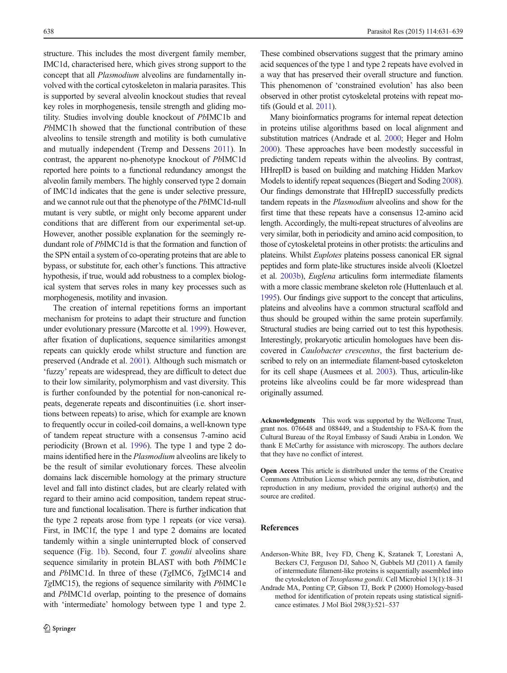<span id="page-7-0"></span>structure. This includes the most divergent family member, IMC1d, characterised here, which gives strong support to the concept that all Plasmodium alveolins are fundamentally involved with the cortical cytoskeleton in malaria parasites. This is supported by several alveolin knockout studies that reveal key roles in morphogenesis, tensile strength and gliding motility. Studies involving double knockout of PbIMC1b and PbIMC1h showed that the functional contribution of these alveolins to tensile strength and motility is both cumulative and mutually independent (Tremp and Dessens [2011\)](#page-8-0). In contrast, the apparent no-phenotype knockout of PbIMC1d reported here points to a functional redundancy amongst the alveolin family members. The highly conserved type 2 domain of IMC1d indicates that the gene is under selective pressure, and we cannot rule out that the phenotype of the PbIMC1d-null mutant is very subtle, or might only become apparent under conditions that are different from our experimental set-up. However, another possible explanation for the seemingly redundant role of PbIMC1d is that the formation and function of the SPN entail a system of co-operating proteins that are able to bypass, or substitute for, each other's functions. This attractive hypothesis, if true, would add robustness to a complex biological system that serves roles in many key processes such as morphogenesis, motility and invasion.

The creation of internal repetitions forms an important mechanism for proteins to adapt their structure and function under evolutionary pressure (Marcotte et al. [1999](#page-8-0)). However, after fixation of duplications, sequence similarities amongst repeats can quickly erode whilst structure and function are preserved (Andrade et al. [2001](#page-8-0)). Although such mismatch or 'fuzzy' repeats are widespread, they are difficult to detect due to their low similarity, polymorphism and vast diversity. This is further confounded by the potential for non-canonical repeats, degenerate repeats and discontinuities (i.e. short insertions between repeats) to arise, which for example are known to frequently occur in coiled-coil domains, a well-known type of tandem repeat structure with a consensus 7-amino acid periodicity (Brown et al. [1996\)](#page-8-0). The type 1 and type 2 domains identified here in the Plasmodium alveolins are likely to be the result of similar evolutionary forces. These alveolin domains lack discernible homology at the primary structure level and fall into distinct clades, but are clearly related with regard to their amino acid composition, tandem repeat structure and functional localisation. There is further indication that the type 2 repeats arose from type 1 repeats (or vice versa). First, in IMC1f, the type 1 and type 2 domains are located tandemly within a single uninterrupted block of conserved sequence (Fig. [1b](#page-4-0)). Second, four *T. gondii* alveolins share sequence similarity in protein BLAST with both *PbIMC1e* and PbIMC1d. In three of these (TgIMC6, TgIMC14 and TgIMC15), the regions of sequence similarity with PbIMC1e and PbIMC1d overlap, pointing to the presence of domains with 'intermediate' homology between type 1 and type 2.

These combined observations suggest that the primary amino acid sequences of the type 1 and type 2 repeats have evolved in a way that has preserved their overall structure and function. This phenomenon of 'constrained evolution' has also been observed in other protist cytoskeletal proteins with repeat motifs (Gould et al. [2011](#page-8-0)).

Many bioinformatics programs for internal repeat detection in proteins utilise algorithms based on local alignment and substitution matrices (Andrade et al. 2000; Heger and Holm [2000](#page-8-0)). These approaches have been modestly successful in predicting tandem repeats within the alveolins. By contrast, HHrepID is based on building and matching Hidden Markov Models to identify repeat sequences (Biegert and Soding [2008\)](#page-8-0). Our findings demonstrate that HHrepID successfully predicts tandem repeats in the Plasmodium alveolins and show for the first time that these repeats have a consensus 12-amino acid length. Accordingly, the multi-repeat structures of alveolins are very similar, both in periodicity and amino acid composition, to those of cytoskeletal proteins in other protists: the articulins and plateins. Whilst Euplotes plateins possess canonical ER signal peptides and form plate-like structures inside alveoli (Kloetzel et al. [2003b](#page-8-0)), Euglena articulins form intermediate filaments with a more classic membrane skeleton role (Huttenlauch et al. [1995](#page-8-0)). Our findings give support to the concept that articulins, plateins and alveolins have a common structural scaffold and thus should be grouped within the same protein superfamily. Structural studies are being carried out to test this hypothesis. Interestingly, prokaryotic articulin homologues have been discovered in Caulobacter crescentus, the first bacterium described to rely on an intermediate filament-based cytoskeleton for its cell shape (Ausmees et al. [2003](#page-8-0)). Thus, articulin-like proteins like alveolins could be far more widespread than originally assumed.

Acknowledgments This work was supported by the Wellcome Trust, grant nos. 076648 and 088449, and a Studentship to FSA-K from the Cultural Bureau of the Royal Embassy of Saudi Arabia in London. We thank E McCarthy for assistance with microscopy. The authors declare that they have no conflict of interest.

Open Access This article is distributed under the terms of the Creative Commons Attribution License which permits any use, distribution, and reproduction in any medium, provided the original author(s) and the source are credited.

#### References

- Anderson-White BR, Ivey FD, Cheng K, Szatanek T, Lorestani A, Beckers CJ, Ferguson DJ, Sahoo N, Gubbels MJ (2011) A family of intermediate filament-like proteins is sequentially assembled into the cytoskeleton of Toxoplasma gondii. Cell Microbiol 13(1):18–31
- Andrade MA, Ponting CP, Gibson TJ, Bork P (2000) Homology-based method for identification of protein repeats using statistical significance estimates. J Mol Biol 298(3):521–537